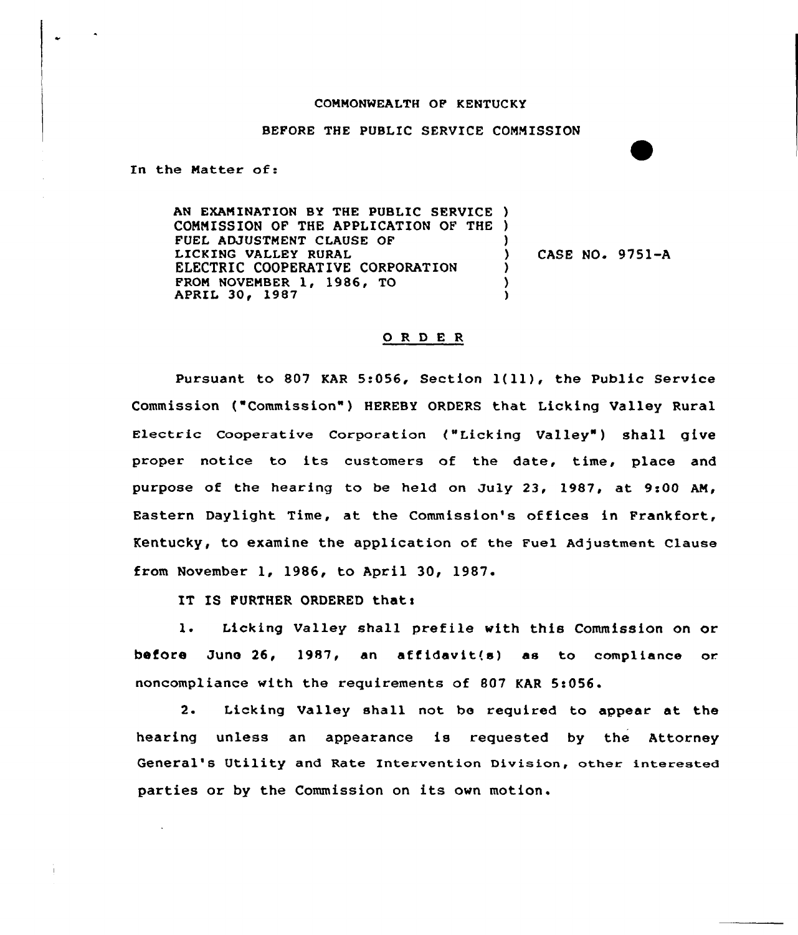## COMMONWEALTH OP KENTUCKY

## BEFORE THE PUBLIC SERVICE COMMISSION

In the Matter of:

AN EXAMINATION BY THE PUBLIC SERVICE ) CONMISSION OF THE APPLICATION OF THE ) FUEL ADJUSTMENT CLAUSE OP LICKING VALLEY RURAL ELECTRIC COOPERATIVE CORPORATION APRIL 30, 1987 FROM NOVEMBER 1, 1986, TO ) ) CASE NO. 9751-A ) ) )

## 0 <sup>R</sup> <sup>D</sup> E <sup>R</sup>

Pursuant to <sup>807</sup> KAR 5:056, Section l{ll), the Public Service Commission ("Commission") HEREBY ORDERS that Licking Valley Rural Electric Cooperative Corporation ("Licking Valley") shall give proper notice to its customers of the date, time, place and purpose of the hearing to be held on July 23, 1987, at 9:00 AM, Eastern Daylight Time, at the Commission's offices in Frankfort, Kentucky, to examine the application of the Fuel Adjustment clause from November 1, 1986, to April 30, 1987.

IT IS FURTHER ORDERED that:

1. Licking Valley shall prefile with this Commission on or before June  $26$ , 1987, an affidavit $(8)$  as to compliance or. noncompliance with the requirements of 807 KAR 5!056.

2. Licking Valley shall not be required to appear at the hearing unless an appearance is requested by the Attorney General's Utility and Rate Intervention Division, other interested parties or by the Commission on its own motion.